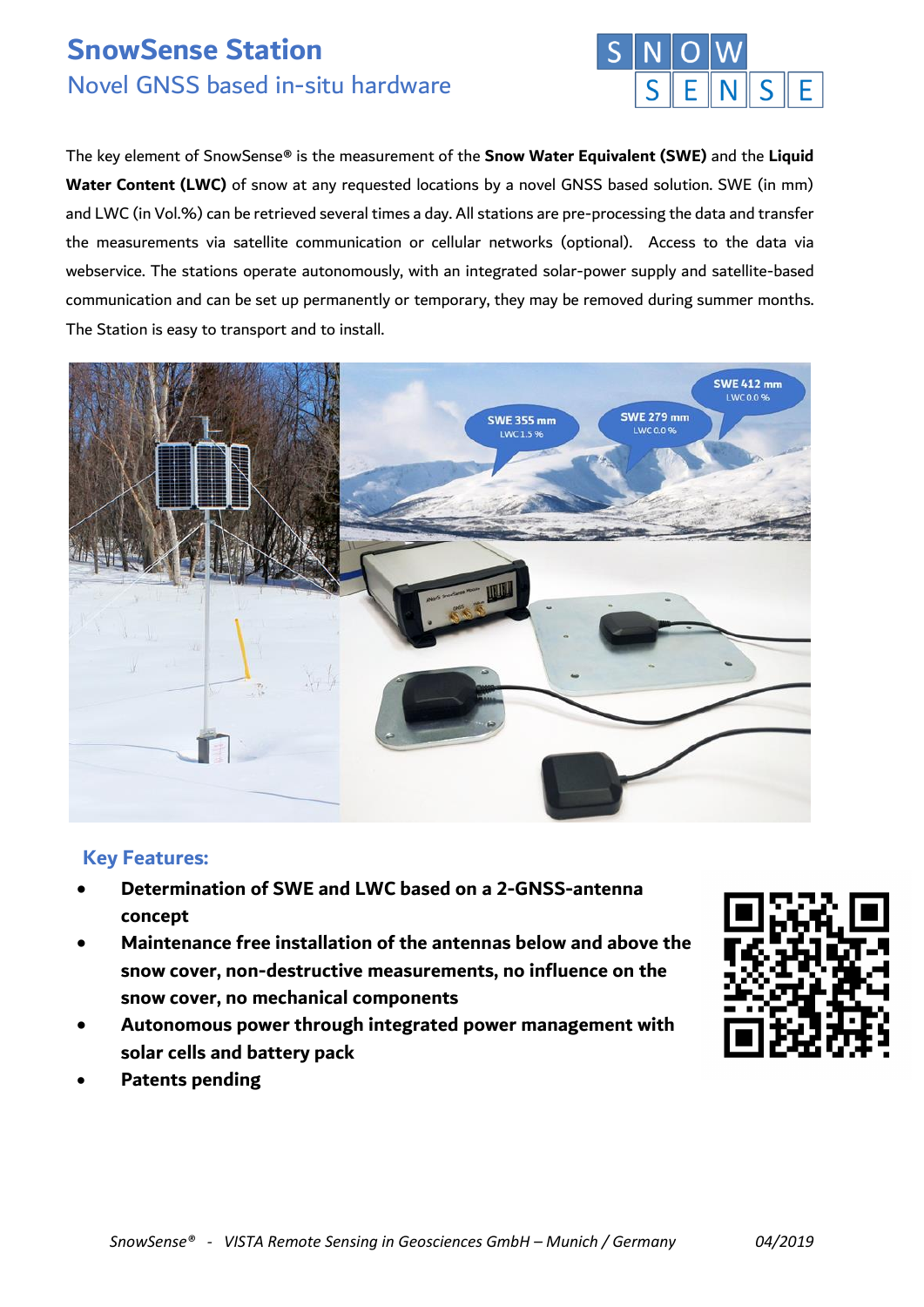# **SnowSense Station** Novel GNSS based in-situ hardware



The key element of SnowSense® is the measurement of the **Snow Water Equivalent (SWE)** and the **Liquid Water Content (LWC)** of snow at any requested locations by a novel GNSS based solution. SWE (in mm) and LWC (in Vol.%) can be retrieved several times a day. All stations are pre-processing the data and transfer the measurements via satellite communication or cellular networks (optional). Access to the data via webservice. The stations operate autonomously, with an integrated solar-power supply and satellite-based communication and can be set up permanently or temporary, they may be removed during summer months. The Station is easy to transport and to install.



## **Key Features:**

- **Determination of SWE and LWC based on a 2-GNSS-antenna concept**
- **Maintenance free installation of the antennas below and above the snow cover, non-destructive measurements, no influence on the snow cover, no mechanical components**
- **Autonomous power through integrated power management with solar cells and battery pack**
- **Patents pending**